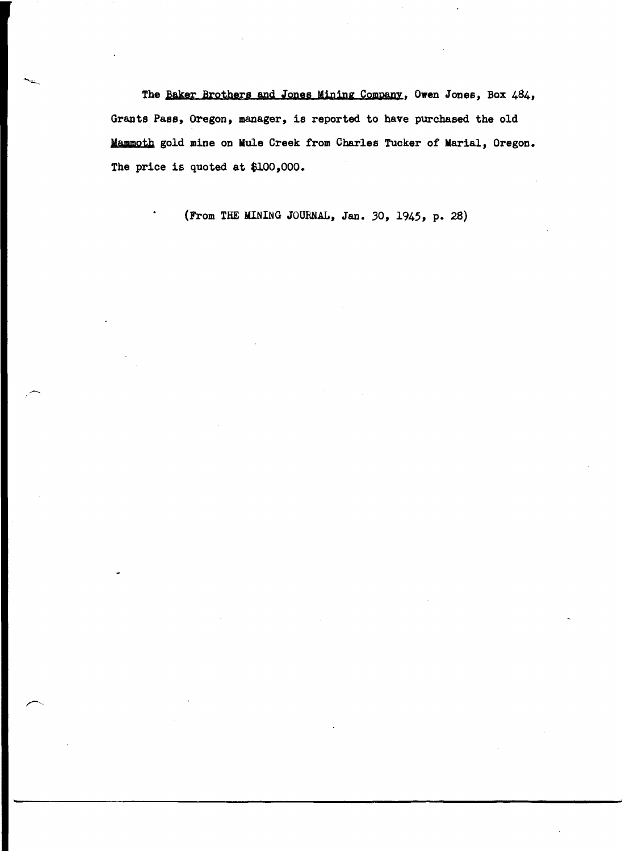The Baker Brothers and Jones Mining Company, Owen Jones, Box 484, Grants Pass, Oregon, manager, is reported to have purchased the old Mammoth gold mine on Mule Creek from Charles Tucker of Marial, Oregon. The price is quoted at \$100,000.

(From THE MINING JOURNAL, Jan. 30, 1945, p. 28)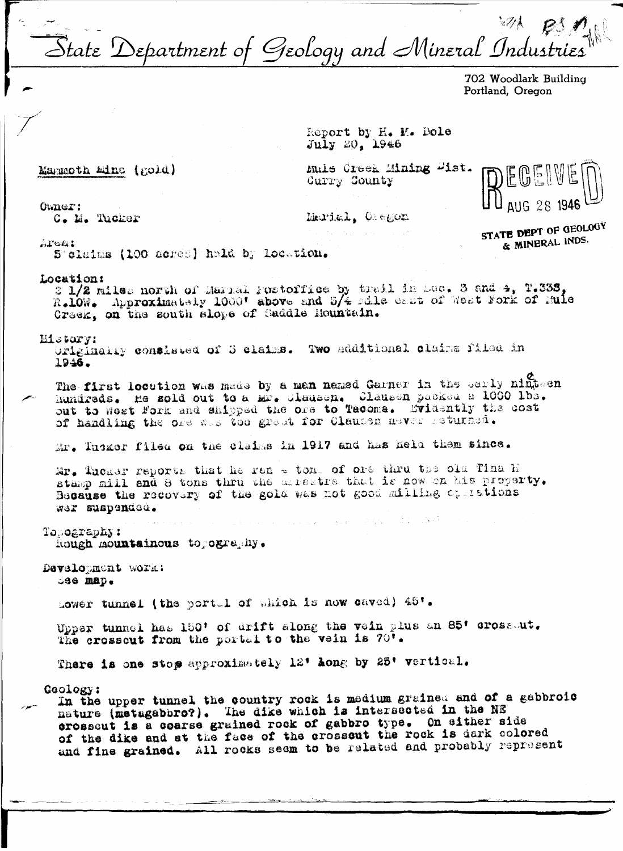state Department of Geology and Mineral Industries

702 Woodlark Building Portland. Oregon

Report by H. M. Dole July 20, 1946

Mammoth Mine (gold)

Muls Creek Mining Wist. Curry County

**The County of Line 1999** 

STATE DEPT OF GEOLOGY & MINERAL INDS.

 $0$ wne $T$ :

C. M. Tucker

Marial. Oregon

Areai

5 claims (100 acres) held by location.

## Location:

2 1/2 miles north of Marial Postoffice by trail in Sec. 3 and 4, T.338, R.10W. Approximately 1000' above and 5/4 mile each of West Fork of Mule Creek, on the south slope of Saddle Hountain.

## History:

originally consisted of 3 claims. Two additional claims filed in 1946.

The first location was made by a man named Garner in the serly ninteen hundreds. He sold out to a Mr. Clausen. Clausen packed a 1000 lbs. out to West Fork and shipped the ore to Tacoma. Evidently the cost of handling the ore was too great for Clausen never isturned.

Mr. Tusker filed on the claims in 1917 and has held them since.

Mr. Tucker reports that he ran - ton, of ore thru the old Tina h stamp mill and 8 tons thru the arrestre that is now on his property. Because the recovery of the gold was not good milling operations wer suspended.

Topography: hough mountainous to ography.

Development work:  $386$  map.

Lower tunnel (the portal of which is now caved) 45'.

Upper tunnel has 150' of drift along the vein plus an 85' crossout. The crosscut from the portal to the vein is 70'.

There is one stop approximately 12' hong by 25' vertical.

Geology:

In the upper tunnel the country rock is medium grained and of a gabbroic nature (metagabbro?). The dike which is intersected in the NE crosscut is a coarse grained rock of gabbro type. On either side of the dike and at the face of the crosscut the rock is dark colored and fine grained. All rocks seem to be related and probably represent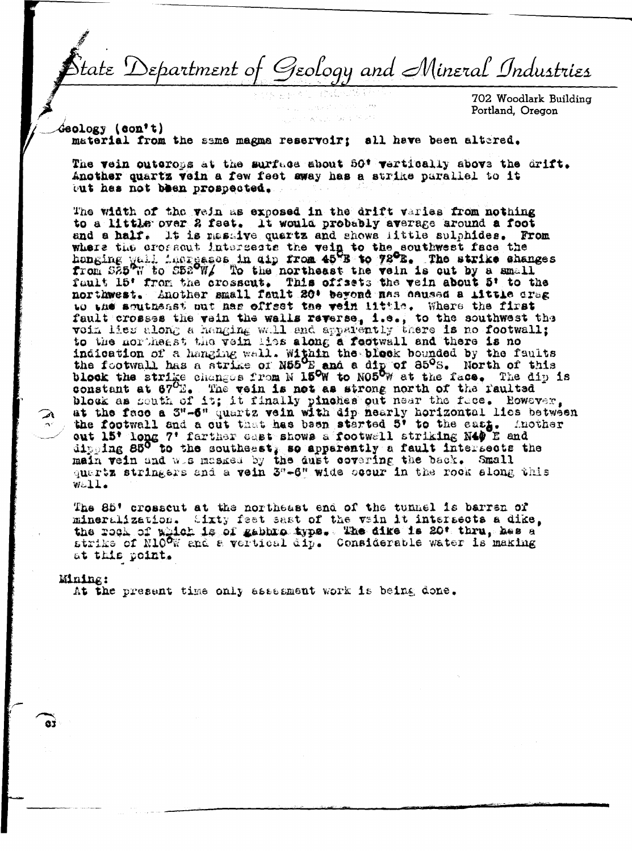Department of Geology and Mineral Industries

702 Woodlark Building Portland, Oregon

**Geology** (con't)

material from the same magna reservoir: all have been altered.

The vein outerops at the surface about 50\* vertically above the drift. Another quartz vein a few feet away has a strike parallel to it but has not been prospected.

The width of the yein as exposed in the drift varies from nothing to a little over 2 feet. It would probably average around a foot and a half. It is massive quartz and shows little sulphides. From where the crossout intersects the vein to the southwest face the honging yall increases in dip from 45 B to 78 B. The strike changes from S25 W to S52 W/ To the northeast the vein is out by a small fault 15' from the crosscut. This offsets the vein about 5' to the northwest. Another small fault 20' beyond nas caused a little creg to the southeast put has offect the vein little. Where the first fault crosses the wain the walls reverse, i.e., to the southwest the voin lies along a henging wall and apparently there is no footwall;<br>to the northeast the vein lies along a feotwall and there is no motivall;<br>is a headin constant at  $67^{\circ}$ . The vein is not as strong north of the faulted block as south of it; it finally pinches out near the face. However, shock as Bouth of 19; It that it piness out hear the fice. However,<br>at the face a 3"-6" quartz vein with dip nearly horizontal lies between<br>the footwall and a cut that has been started 5' to the eart. Another<br>out 15' long Well.

The 85' crosscut at the northeast end of the tunnel is barren of mineralization. Sixty feet sast of the vain it intersects a dike. the rock of which is of gabbro type. The dike is 20' thru, has a strike of N100W and a vertical dip. Considerable water is making at this point.

## Mining:

At the present time only assesment work is being done.